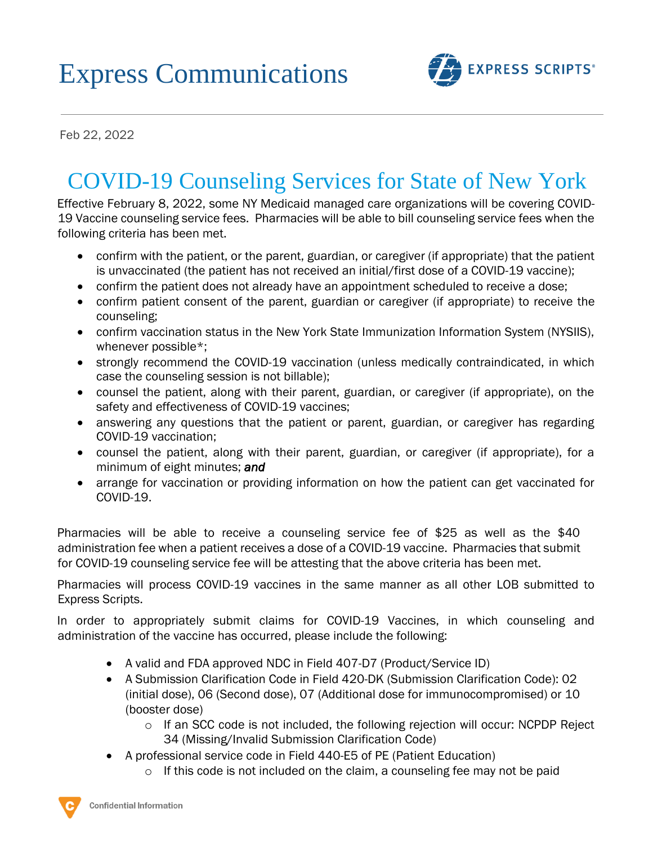## Express Communications



Feb 22, 2022

## COVID-19 Counseling Services for State of New York

Effective February 8, 2022, some NY Medicaid managed care organizations will be covering COVID-19 Vaccine counseling service fees. Pharmacies will be able to bill counseling service fees when the following criteria has been met.

- confirm with the patient, or the parent, guardian, or caregiver (if appropriate) that the patient is unvaccinated (the patient has not received an initial/first dose of a COVID-19 vaccine);
- confirm the patient does not already have an appointment scheduled to receive a dose;
- confirm patient consent of the parent, guardian or caregiver (if appropriate) to receive the counseling;
- confirm vaccination status in the New York State Immunization Information System (NYSIIS), whenever possible\*;
- strongly recommend the COVID-19 vaccination (unless medically contraindicated, in which case the counseling session is not billable);
- counsel the patient, along with their parent, guardian, or caregiver (if appropriate), on the safety and effectiveness of COVID-19 vaccines;
- answering any questions that the patient or parent, guardian, or caregiver has regarding COVID-19 vaccination;
- counsel the patient, along with their parent, guardian, or caregiver (if appropriate), for a minimum of eight minutes; *and*
- arrange for vaccination or providing information on how the patient can get vaccinated for COVID-19.

Pharmacies will be able to receive a counseling service fee of \$25 as well as the \$40 administration fee when a patient receives a dose of a COVID-19 vaccine. Pharmacies that submit for COVID-19 counseling service fee will be attesting that the above criteria has been met.

Pharmacies will process COVID-19 vaccines in the same manner as all other LOB submitted to Express Scripts.

In order to appropriately submit claims for COVID-19 Vaccines, in which counseling and administration of the vaccine has occurred, please include the following:

- A valid and FDA approved NDC in Field 407-D7 (Product/Service ID)
- A Submission Clarification Code in Field 420-DK (Submission Clarification Code): 02 (initial dose), 06 (Second dose), 07 (Additional dose for immunocompromised) or 10 (booster dose)
	- $\circ$  If an SCC code is not included, the following rejection will occur: NCPDP Reject 34 (Missing/Invalid Submission Clarification Code)
- A professional service code in Field 440-E5 of PE (Patient Education)
	- $\circ$  If this code is not included on the claim, a counseling fee may not be paid